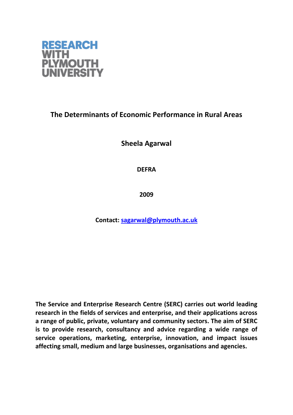

## **The Determinants of Economic Performance in Rural Areas**

**Sheela Agarwal**

**DEFRA**

**2009**

**Contact: [sagarwal@plymouth.ac.uk](mailto:sagarwal@plymouth.ac.uk)**

**The Service and Enterprise Research Centre (SERC) carries out world leading research in the fields of services and enterprise, and their applications across a range of public, private, voluntary and community sectors. The aim of SERC is to provide research, consultancy and advice regarding a wide range of service operations, marketing, enterprise, innovation, and impact issues affecting small, medium and large businesses, organisations and agencies.**